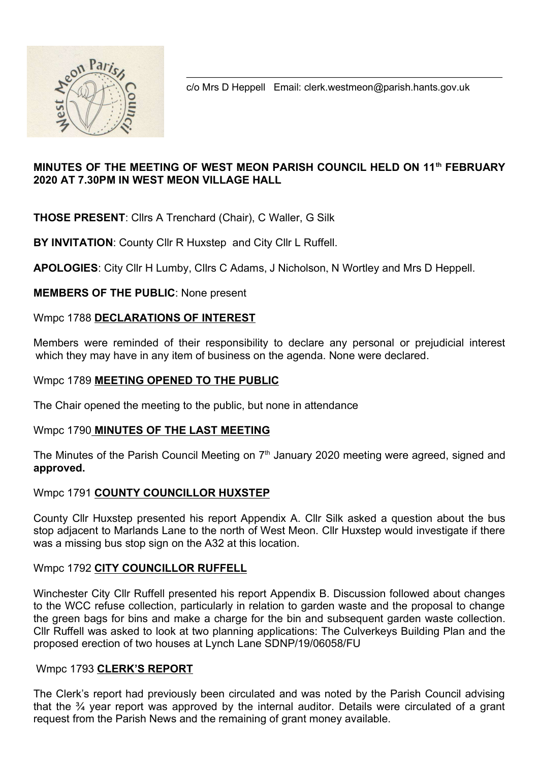

c/o Mrs D Heppell Email: clerk.westmeon@parish.hants.gov.uk

## MINUTES OF THE MEETING OF WEST MEON PARISH COUNCIL HELD ON 11th FEBRUARY 2020 AT 7.30PM IN WEST MEON VILLAGE HALL

THOSE PRESENT: Cllrs A Trenchard (Chair), C Waller, G Silk

BY INVITATION: County Cllr R Huxstep and City Cllr L Ruffell.

APOLOGIES: City Cllr H Lumby, Cllrs C Adams, J Nicholson, N Wortley and Mrs D Heppell.

MEMBERS OF THE PUBLIC: None present

#### Wmpc 1788 DECLARATIONS OF INTEREST

Members were reminded of their responsibility to declare any personal or prejudicial interest which they may have in any item of business on the agenda. None were declared.

#### Wmpc 1789 MEETING OPENED TO THE PUBLIC

The Chair opened the meeting to the public, but none in attendance

#### Wmpc 1790 MINUTES OF THE LAST MEETING

The Minutes of the Parish Council Meeting on 7<sup>th</sup> January 2020 meeting were agreed, signed and approved.

## Wmpc 1791 COUNTY COUNCILLOR HUXSTEP

County Cllr Huxstep presented his report Appendix A. Cllr Silk asked a question about the bus stop adjacent to Marlands Lane to the north of West Meon. Cllr Huxstep would investigate if there was a missing bus stop sign on the A32 at this location.

## Wmpc 1792 CITY COUNCILLOR RUFFELL

Winchester City Cllr Ruffell presented his report Appendix B. Discussion followed about changes to the WCC refuse collection, particularly in relation to garden waste and the proposal to change the green bags for bins and make a charge for the bin and subsequent garden waste collection. Cllr Ruffell was asked to look at two planning applications: The Culverkeys Building Plan and the proposed erection of two houses at Lynch Lane SDNP/19/06058/FU

#### Wmpc 1793 CLERK'S REPORT

The Clerk's report had previously been circulated and was noted by the Parish Council advising that the ¾ year report was approved by the internal auditor. Details were circulated of a grant request from the Parish News and the remaining of grant money available.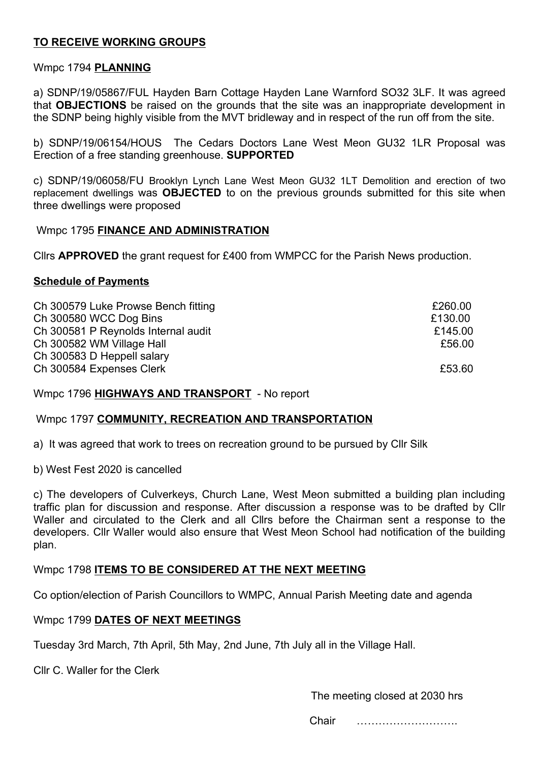## TO RECEIVE WORKING GROUPS

#### Wmpc 1794 PLANNING

a) SDNP/19/05867/FUL Hayden Barn Cottage Hayden Lane Warnford SO32 3LF. It was agreed that OBJECTIONS be raised on the grounds that the site was an inappropriate development in the SDNP being highly visible from the MVT bridleway and in respect of the run off from the site.

b) SDNP/19/06154/HOUS The Cedars Doctors Lane West Meon GU32 1LR Proposal was Erection of a free standing greenhouse. SUPPORTED

c) SDNP/19/06058/FU Brooklyn Lynch Lane West Meon GU32 1LT Demolition and erection of two replacement dwellings was **OBJECTED** to on the previous grounds submitted for this site when three dwellings were proposed

#### Wmpc 1795 FINANCE AND ADMINISTRATION

Cllrs APPROVED the grant request for £400 from WMPCC for the Parish News production.

#### Schedule of Payments

| Ch 300579 Luke Prowse Bench fitting | £260.00 |
|-------------------------------------|---------|
| Ch 300580 WCC Dog Bins              | £130.00 |
| Ch 300581 P Reynolds Internal audit | £145.00 |
| Ch 300582 WM Village Hall           | £56.00  |
| Ch 300583 D Heppell salary          |         |
| Ch 300584 Expenses Clerk            | £53.60  |

Wmpc 1796 HIGHWAYS AND TRANSPORT - No report

#### Wmpc 1797 COMMUNITY, RECREATION AND TRANSPORTATION

a) It was agreed that work to trees on recreation ground to be pursued by Cllr Silk

b) West Fest 2020 is cancelled

c) The developers of Culverkeys, Church Lane, West Meon submitted a building plan including traffic plan for discussion and response. After discussion a response was to be drafted by Cllr Waller and circulated to the Clerk and all Cllrs before the Chairman sent a response to the developers. Cllr Waller would also ensure that West Meon School had notification of the building plan.

Wmpc 1798 ITEMS TO BE CONSIDERED AT THE NEXT MEETING

Co option/election of Parish Councillors to WMPC, Annual Parish Meeting date and agenda

#### Wmpc 1799 DATES OF NEXT MEETINGS

Tuesday 3rd March, 7th April, 5th May, 2nd June, 7th July all in the Village Hall.

Cllr C. Waller for the Clerk

The meeting closed at 2030 hrs

Chair ……………………….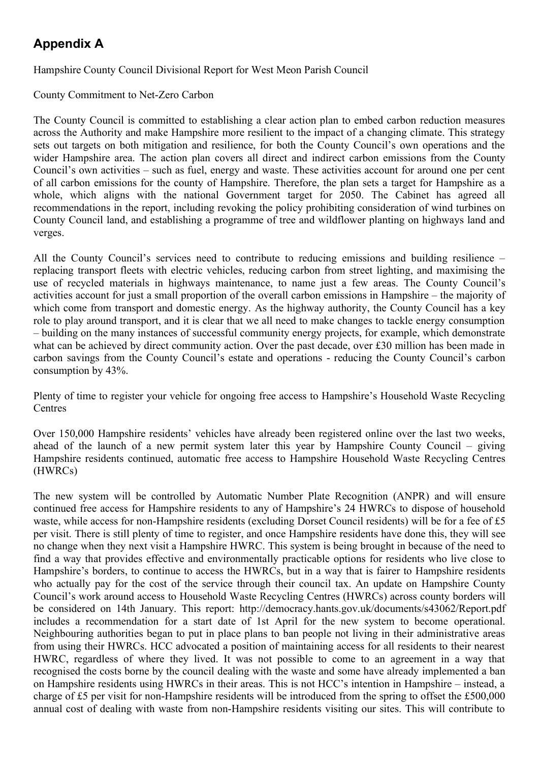# Appendix A

#### Hampshire County Council Divisional Report for West Meon Parish Council

County Commitment to Net-Zero Carbon

The County Council is committed to establishing a clear action plan to embed carbon reduction measures across the Authority and make Hampshire more resilient to the impact of a changing climate. This strategy sets out targets on both mitigation and resilience, for both the County Council's own operations and the wider Hampshire area. The action plan covers all direct and indirect carbon emissions from the County Council's own activities – such as fuel, energy and waste. These activities account for around one per cent of all carbon emissions for the county of Hampshire. Therefore, the plan sets a target for Hampshire as a whole, which aligns with the national Government target for 2050. The Cabinet has agreed all recommendations in the report, including revoking the policy prohibiting consideration of wind turbines on County Council land, and establishing a programme of tree and wildflower planting on highways land and verges.

All the County Council's services need to contribute to reducing emissions and building resilience – replacing transport fleets with electric vehicles, reducing carbon from street lighting, and maximising the use of recycled materials in highways maintenance, to name just a few areas. The County Council's activities account for just a small proportion of the overall carbon emissions in Hampshire – the majority of which come from transport and domestic energy. As the highway authority, the County Council has a key role to play around transport, and it is clear that we all need to make changes to tackle energy consumption – building on the many instances of successful community energy projects, for example, which demonstrate what can be achieved by direct community action. Over the past decade, over £30 million has been made in carbon savings from the County Council's estate and operations - reducing the County Council's carbon consumption by 43%.

Plenty of time to register your vehicle for ongoing free access to Hampshire's Household Waste Recycling **Centres** 

Over 150,000 Hampshire residents' vehicles have already been registered online over the last two weeks, ahead of the launch of a new permit system later this year by Hampshire County Council – giving Hampshire residents continued, automatic free access to Hampshire Household Waste Recycling Centres (HWRCs)

The new system will be controlled by Automatic Number Plate Recognition (ANPR) and will ensure continued free access for Hampshire residents to any of Hampshire's 24 HWRCs to dispose of household waste, while access for non-Hampshire residents (excluding Dorset Council residents) will be for a fee of £5 per visit. There is still plenty of time to register, and once Hampshire residents have done this, they will see no change when they next visit a Hampshire HWRC. This system is being brought in because of the need to find a way that provides effective and environmentally practicable options for residents who live close to Hampshire's borders, to continue to access the HWRCs, but in a way that is fairer to Hampshire residents who actually pay for the cost of the service through their council tax. An update on Hampshire County Council's work around access to Household Waste Recycling Centres (HWRCs) across county borders will be considered on 14th January. This report: http://democracy.hants.gov.uk/documents/s43062/Report.pdf includes a recommendation for a start date of 1st April for the new system to become operational. Neighbouring authorities began to put in place plans to ban people not living in their administrative areas from using their HWRCs. HCC advocated a position of maintaining access for all residents to their nearest HWRC, regardless of where they lived. It was not possible to come to an agreement in a way that recognised the costs borne by the council dealing with the waste and some have already implemented a ban on Hampshire residents using HWRCs in their areas. This is not HCC's intention in Hampshire – instead, a charge of £5 per visit for non-Hampshire residents will be introduced from the spring to offset the £500,000 annual cost of dealing with waste from non-Hampshire residents visiting our sites. This will contribute to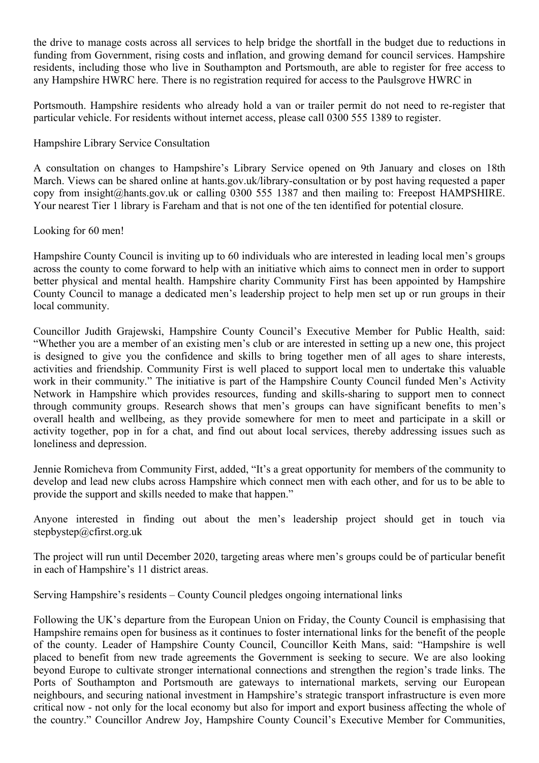the drive to manage costs across all services to help bridge the shortfall in the budget due to reductions in funding from Government, rising costs and inflation, and growing demand for council services. Hampshire residents, including those who live in Southampton and Portsmouth, are able to register for free access to any Hampshire HWRC here. There is no registration required for access to the Paulsgrove HWRC in

Portsmouth. Hampshire residents who already hold a van or trailer permit do not need to re-register that particular vehicle. For residents without internet access, please call 0300 555 1389 to register.

Hampshire Library Service Consultation

A consultation on changes to Hampshire's Library Service opened on 9th January and closes on 18th March. Views can be shared online at hants.gov.uk/library-consultation or by post having requested a paper copy from insight@hants.gov.uk or calling 0300 555 1387 and then mailing to: Freepost HAMPSHIRE. Your nearest Tier 1 library is Fareham and that is not one of the ten identified for potential closure.

Looking for 60 men!

Hampshire County Council is inviting up to 60 individuals who are interested in leading local men's groups across the county to come forward to help with an initiative which aims to connect men in order to support better physical and mental health. Hampshire charity Community First has been appointed by Hampshire County Council to manage a dedicated men's leadership project to help men set up or run groups in their local community.

Councillor Judith Grajewski, Hampshire County Council's Executive Member for Public Health, said: "Whether you are a member of an existing men's club or are interested in setting up a new one, this project is designed to give you the confidence and skills to bring together men of all ages to share interests, activities and friendship. Community First is well placed to support local men to undertake this valuable work in their community." The initiative is part of the Hampshire County Council funded Men's Activity Network in Hampshire which provides resources, funding and skills-sharing to support men to connect through community groups. Research shows that men's groups can have significant benefits to men's overall health and wellbeing, as they provide somewhere for men to meet and participate in a skill or activity together, pop in for a chat, and find out about local services, thereby addressing issues such as loneliness and depression.

Jennie Romicheva from Community First, added, "It's a great opportunity for members of the community to develop and lead new clubs across Hampshire which connect men with each other, and for us to be able to provide the support and skills needed to make that happen."

Anyone interested in finding out about the men's leadership project should get in touch via stepbystep@cfirst.org.uk

The project will run until December 2020, targeting areas where men's groups could be of particular benefit in each of Hampshire's 11 district areas.

Serving Hampshire's residents – County Council pledges ongoing international links

Following the UK's departure from the European Union on Friday, the County Council is emphasising that Hampshire remains open for business as it continues to foster international links for the benefit of the people of the county. Leader of Hampshire County Council, Councillor Keith Mans, said: "Hampshire is well placed to benefit from new trade agreements the Government is seeking to secure. We are also looking beyond Europe to cultivate stronger international connections and strengthen the region's trade links. The Ports of Southampton and Portsmouth are gateways to international markets, serving our European neighbours, and securing national investment in Hampshire's strategic transport infrastructure is even more critical now - not only for the local economy but also for import and export business affecting the whole of the country." Councillor Andrew Joy, Hampshire County Council's Executive Member for Communities,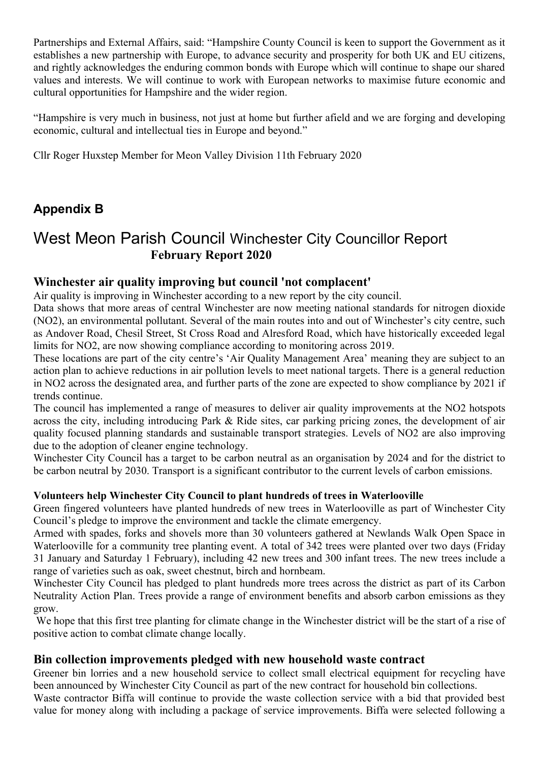Partnerships and External Affairs, said: "Hampshire County Council is keen to support the Government as it establishes a new partnership with Europe, to advance security and prosperity for both UK and EU citizens, and rightly acknowledges the enduring common bonds with Europe which will continue to shape our shared values and interests. We will continue to work with European networks to maximise future economic and cultural opportunities for Hampshire and the wider region.

"Hampshire is very much in business, not just at home but further afield and we are forging and developing economic, cultural and intellectual ties in Europe and beyond."

Cllr Roger Huxstep Member for Meon Valley Division 11th February 2020

## Appendix B

# West Meon Parish Council Winchester City Councillor Report February Report 2020

## Winchester air quality improving but council 'not complacent'

Air quality is improving in Winchester according to a new report by the city council.

Data shows that more areas of central Winchester are now meeting national standards for nitrogen dioxide (NO2), an environmental pollutant. Several of the main routes into and out of Winchester's city centre, such as Andover Road, Chesil Street, St Cross Road and Alresford Road, which have historically exceeded legal limits for NO2, are now showing compliance according to monitoring across 2019.

These locations are part of the city centre's 'Air Quality Management Area' meaning they are subject to an action plan to achieve reductions in air pollution levels to meet national targets. There is a general reduction in NO2 across the designated area, and further parts of the zone are expected to show compliance by 2021 if trends continue.

The council has implemented a range of measures to deliver air quality improvements at the NO2 hotspots across the city, including introducing Park & Ride sites, car parking pricing zones, the development of air quality focused planning standards and sustainable transport strategies. Levels of NO2 are also improving due to the adoption of cleaner engine technology.

Winchester City Council has a target to be carbon neutral as an organisation by 2024 and for the district to be carbon neutral by 2030. Transport is a significant contributor to the current levels of carbon emissions.

## Volunteers help Winchester City Council to plant hundreds of trees in Waterlooville

Green fingered volunteers have planted hundreds of new trees in Waterlooville as part of Winchester City Council's pledge to improve the environment and tackle the climate emergency.

Armed with spades, forks and shovels more than 30 volunteers gathered at Newlands Walk Open Space in Waterlooville for a community tree planting event. A total of 342 trees were planted over two days (Friday 31 January and Saturday 1 February), including 42 new trees and 300 infant trees. The new trees include a range of varieties such as oak, sweet chestnut, birch and hornbeam.

Winchester City Council has pledged to plant hundreds more trees across the district as part of its Carbon Neutrality Action Plan. Trees provide a range of environment benefits and absorb carbon emissions as they grow.

 We hope that this first tree planting for climate change in the Winchester district will be the start of a rise of positive action to combat climate change locally.

## Bin collection improvements pledged with new household waste contract

Greener bin lorries and a new household service to collect small electrical equipment for recycling have been announced by Winchester City Council as part of the new contract for household bin collections.

Waste contractor Biffa will continue to provide the waste collection service with a bid that provided best value for money along with including a package of service improvements. Biffa were selected following a